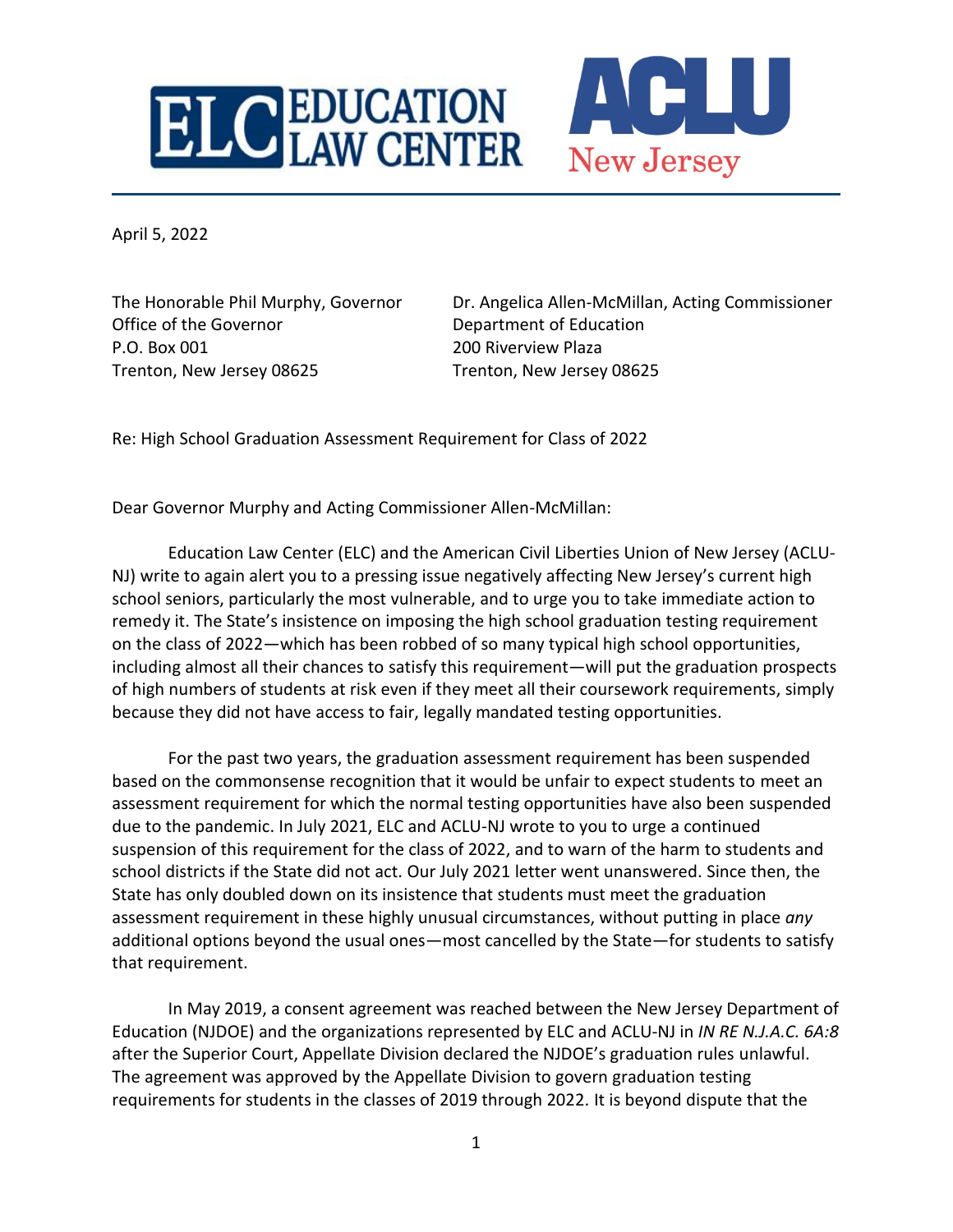

April 5, 2022

Office of the Governor **Department of Education** P.O. Box 001 200 Riverview Plaza Trenton, New Jersey 08625 Trenton, New Jersey 08625

The Honorable Phil Murphy, Governor Dr. Angelica Allen-McMillan, Acting Commissioner

Re: High School Graduation Assessment Requirement for Class of 2022

Dear Governor Murphy and Acting Commissioner Allen-McMillan:

Education Law Center (ELC) and the American Civil Liberties Union of New Jersey (ACLU-NJ) write to again alert you to a pressing issue negatively affecting New Jersey's current high school seniors, particularly the most vulnerable, and to urge you to take immediate action to remedy it. The State's insistence on imposing the high school graduation testing requirement on the class of 2022—which has been robbed of so many typical high school opportunities, including almost all their chances to satisfy this requirement—will put the graduation prospects of high numbers of students at risk even if they meet all their coursework requirements, simply because they did not have access to fair, legally mandated testing opportunities.

For the past two years, the graduation assessment requirement has been suspended based on the commonsense recognition that it would be unfair to expect students to meet an assessment requirement for which the normal testing opportunities have also been suspended due to the pandemic. In July 2021, ELC and ACLU-NJ wrote to you to urge a continued suspension of this requirement for the class of 2022, and to warn of the harm to students and school districts if the State did not act. Our July 2021 letter went unanswered. Since then, the State has only doubled down on its insistence that students must meet the graduation assessment requirement in these highly unusual circumstances, without putting in place *any* additional options beyond the usual ones—most cancelled by the State—for students to satisfy that requirement.

In May 2019, a consent agreement was reached between the New Jersey Department of Education (NJDOE) and the organizations represented by ELC and ACLU-NJ in *IN RE N.J.A.C. 6A:8* after the Superior Court, Appellate Division declared the NJDOE's graduation rules unlawful. The agreement was approved by the Appellate Division to govern graduation testing requirements for students in the classes of 2019 through 2022. It is beyond dispute that the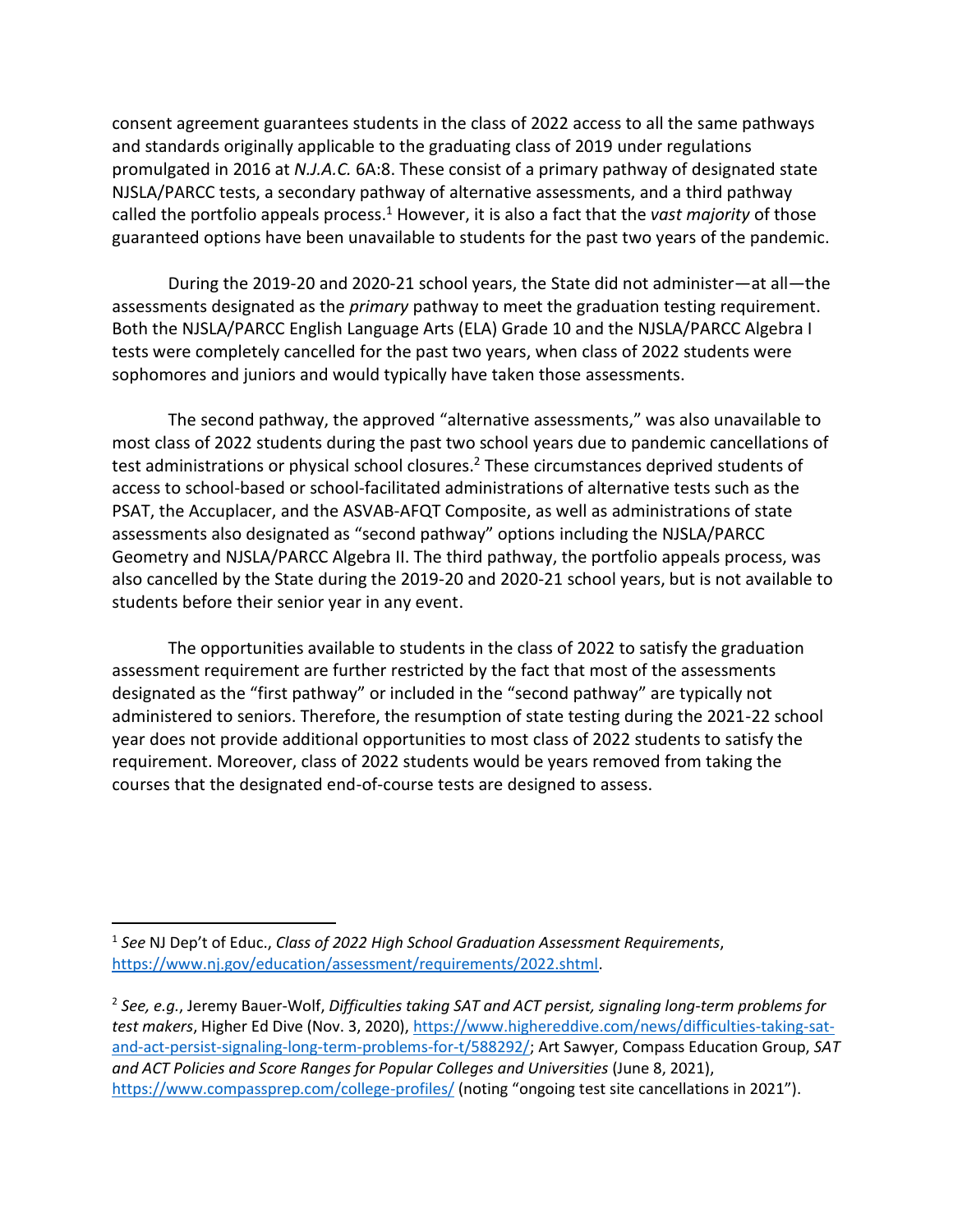consent agreement guarantees students in the class of 2022 access to all the same pathways and standards originally applicable to the graduating class of 2019 under regulations promulgated in 2016 at *N.J.A.C.* 6A:8. These consist of a primary pathway of designated state NJSLA/PARCC tests, a secondary pathway of alternative assessments, and a third pathway called the portfolio appeals process. <sup>1</sup> However, it is also a fact that the *vast majority* of those guaranteed options have been unavailable to students for the past two years of the pandemic.

During the 2019-20 and 2020-21 school years, the State did not administer—at all—the assessments designated as the *primary* pathway to meet the graduation testing requirement. Both the NJSLA/PARCC English Language Arts (ELA) Grade 10 and the NJSLA/PARCC Algebra I tests were completely cancelled for the past two years, when class of 2022 students were sophomores and juniors and would typically have taken those assessments.

The second pathway, the approved "alternative assessments," was also unavailable to most class of 2022 students during the past two school years due to pandemic cancellations of test administrations or physical school closures. <sup>2</sup> These circumstances deprived students of access to school-based or school-facilitated administrations of alternative tests such as the PSAT, the Accuplacer, and the ASVAB-AFQT Composite, as well as administrations of state assessments also designated as "second pathway" options including the NJSLA/PARCC Geometry and NJSLA/PARCC Algebra II. The third pathway, the portfolio appeals process, was also cancelled by the State during the 2019-20 and 2020-21 school years, but is not available to students before their senior year in any event.

The opportunities available to students in the class of 2022 to satisfy the graduation assessment requirement are further restricted by the fact that most of the assessments designated as the "first pathway" or included in the "second pathway" are typically not administered to seniors. Therefore, the resumption of state testing during the 2021-22 school year does not provide additional opportunities to most class of 2022 students to satisfy the requirement. Moreover, class of 2022 students would be years removed from taking the courses that the designated end-of-course tests are designed to assess.

<sup>1</sup> *See* NJ Dep't of Educ., *Class of 2022 High School Graduation Assessment Requirements*, https://www.nj.gov/education/assessment/requirements/2022.shtml.

<sup>2</sup> *See, e.g.*, Jeremy Bauer-Wolf, *Difficulties taking SAT and ACT persist, signaling long-term problems for test makers*, Higher Ed Dive (Nov. 3, 2020), [https://www.highereddive.com/news/difficulties-taking-sat](https://www.highereddive.com/news/difficulties-taking-sat-and-act-persist-signaling-long-term-problems-for-t/588292/)[and-act-persist-signaling-long-term-problems-for-t/588292/;](https://www.highereddive.com/news/difficulties-taking-sat-and-act-persist-signaling-long-term-problems-for-t/588292/) Art Sawyer, Compass Education Group, *SAT and ACT Policies and Score Ranges for Popular Colleges and Universities* (June 8, 2021), <https://www.compassprep.com/college-profiles/> (noting "ongoing test site cancellations in 2021").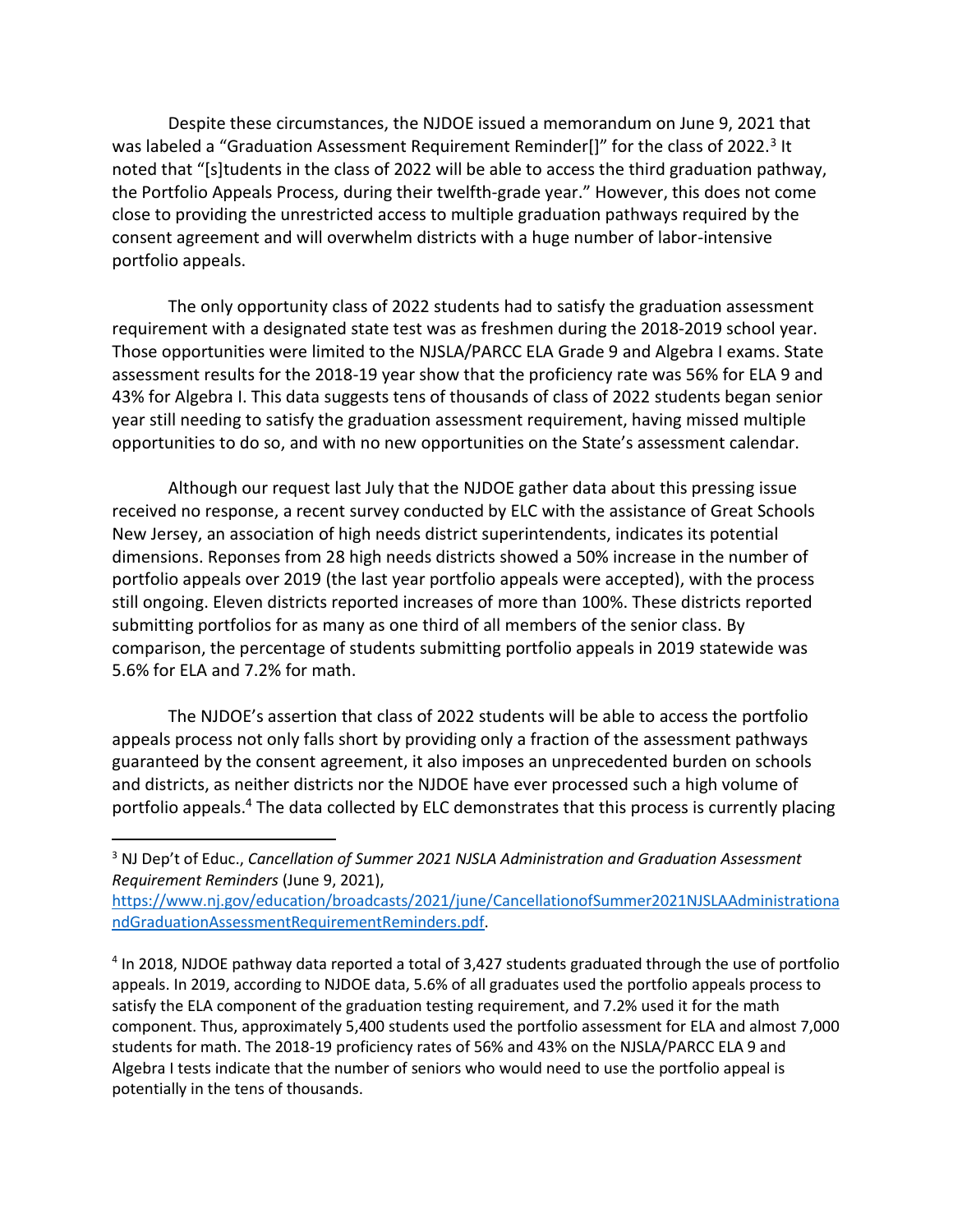Despite these circumstances, the NJDOE issued a memorandum on June 9, 2021 that was labeled a "Graduation Assessment Requirement Reminder[]" for the class of 2022.<sup>3</sup> It noted that "[s]tudents in the class of 2022 will be able to access the third graduation pathway, the Portfolio Appeals Process, during their twelfth-grade year." However, this does not come close to providing the unrestricted access to multiple graduation pathways required by the consent agreement and will overwhelm districts with a huge number of labor-intensive portfolio appeals.

The only opportunity class of 2022 students had to satisfy the graduation assessment requirement with a designated state test was as freshmen during the 2018-2019 school year. Those opportunities were limited to the NJSLA/PARCC ELA Grade 9 and Algebra I exams. State assessment results for the 2018-19 year show that the proficiency rate was 56% for ELA 9 and 43% for Algebra I. This data suggests tens of thousands of class of 2022 students began senior year still needing to satisfy the graduation assessment requirement, having missed multiple opportunities to do so, and with no new opportunities on the State's assessment calendar.

Although our request last July that the NJDOE gather data about this pressing issue received no response, a recent survey conducted by ELC with the assistance of Great Schools New Jersey, an association of high needs district superintendents, indicates its potential dimensions. Reponses from 28 high needs districts showed a 50% increase in the number of portfolio appeals over 2019 (the last year portfolio appeals were accepted), with the process still ongoing. Eleven districts reported increases of more than 100%. These districts reported submitting portfolios for as many as one third of all members of the senior class. By comparison, the percentage of students submitting portfolio appeals in 2019 statewide was 5.6% for ELA and 7.2% for math.

The NJDOE's assertion that class of 2022 students will be able to access the portfolio appeals process not only falls short by providing only a fraction of the assessment pathways guaranteed by the consent agreement, it also imposes an unprecedented burden on schools and districts, as neither districts nor the NJDOE have ever processed such a high volume of portfolio appeals.<sup>4</sup> The data collected by ELC demonstrates that this process is currently placing

<sup>3</sup> NJ Dep't of Educ., *Cancellation of Summer 2021 NJSLA Administration and Graduation Assessment Requirement Reminders* (June 9, 2021),

[https://www.nj.gov/education/broadcasts/2021/june/CancellationofSummer2021NJSLAAdministrationa](https://www.nj.gov/education/broadcasts/2021/june/CancellationofSummer2021NJSLAAdministrationandGraduationAssessmentRequirementReminders.pdf) [ndGraduationAssessmentRequirementReminders.pdf.](https://www.nj.gov/education/broadcasts/2021/june/CancellationofSummer2021NJSLAAdministrationandGraduationAssessmentRequirementReminders.pdf)

<sup>&</sup>lt;sup>4</sup> In 2018, NJDOE pathway data reported a total of 3,427 students graduated through the use of portfolio appeals. In 2019, according to NJDOE data, 5.6% of all graduates used the portfolio appeals process to satisfy the ELA component of the graduation testing requirement, and 7.2% used it for the math component. Thus, approximately 5,400 students used the portfolio assessment for ELA and almost 7,000 students for math. The 2018-19 proficiency rates of 56% and 43% on the NJSLA/PARCC ELA 9 and Algebra I tests indicate that the number of seniors who would need to use the portfolio appeal is potentially in the tens of thousands.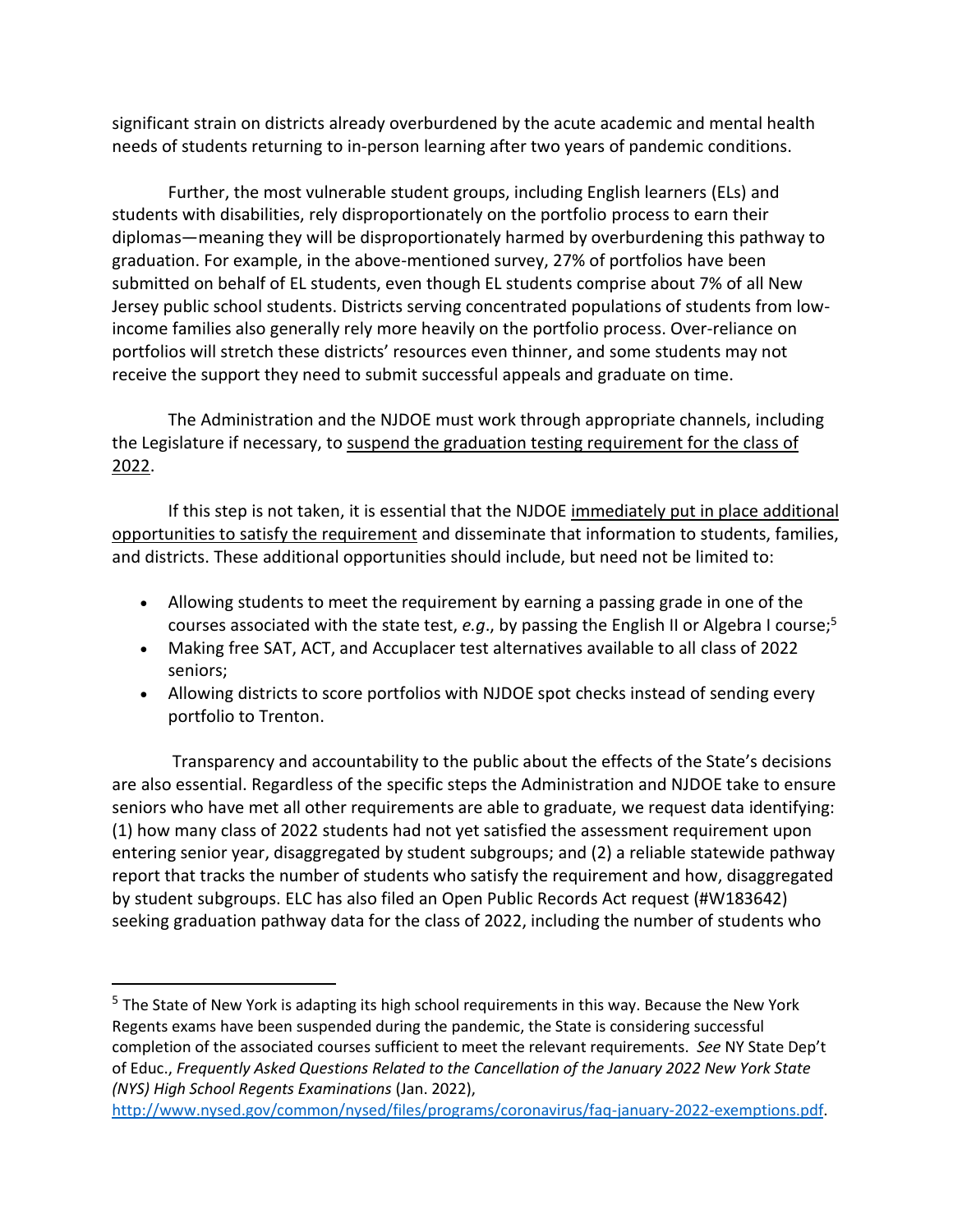significant strain on districts already overburdened by the acute academic and mental health needs of students returning to in-person learning after two years of pandemic conditions.

Further, the most vulnerable student groups, including English learners (ELs) and students with disabilities, rely disproportionately on the portfolio process to earn their diplomas—meaning they will be disproportionately harmed by overburdening this pathway to graduation. For example, in the above-mentioned survey, 27% of portfolios have been submitted on behalf of EL students, even though EL students comprise about 7% of all New Jersey public school students. Districts serving concentrated populations of students from lowincome families also generally rely more heavily on the portfolio process. Over-reliance on portfolios will stretch these districts' resources even thinner, and some students may not receive the support they need to submit successful appeals and graduate on time.

The Administration and the NJDOE must work through appropriate channels, including the Legislature if necessary, to suspend the graduation testing requirement for the class of 2022.

If this step is not taken, it is essential that the NJDOE immediately put in place additional opportunities to satisfy the requirement and disseminate that information to students, families, and districts. These additional opportunities should include, but need not be limited to:

- Allowing students to meet the requirement by earning a passing grade in one of the courses associated with the state test, *e.g*., by passing the English II or Algebra I course; 5
- Making free SAT, ACT, and Accuplacer test alternatives available to all class of 2022 seniors;
- Allowing districts to score portfolios with NJDOE spot checks instead of sending every portfolio to Trenton.

Transparency and accountability to the public about the effects of the State's decisions are also essential. Regardless of the specific steps the Administration and NJDOE take to ensure seniors who have met all other requirements are able to graduate, we request data identifying: (1) how many class of 2022 students had not yet satisfied the assessment requirement upon entering senior year, disaggregated by student subgroups; and (2) a reliable statewide pathway report that tracks the number of students who satisfy the requirement and how, disaggregated by student subgroups. ELC has also filed an Open Public Records Act request (#W183642) seeking graduation pathway data for the class of 2022, including the number of students who

<sup>&</sup>lt;sup>5</sup> The State of New York is adapting its high school requirements in this way. Because the New York Regents exams have been suspended during the pandemic, the State is considering successful completion of the associated courses sufficient to meet the relevant requirements. *See* NY State Dep't of Educ., *Frequently Asked Questions Related to the Cancellation of the January 2022 New York State (NYS) High School Regents Examinations* (Jan. 2022),

[http://www.nysed.gov/common/nysed/files/programs/coronavirus/faq-january-2022-exemptions.pdf.](http://www.nysed.gov/common/nysed/files/programs/coronavirus/faq-january-2022-exemptions.pdf)